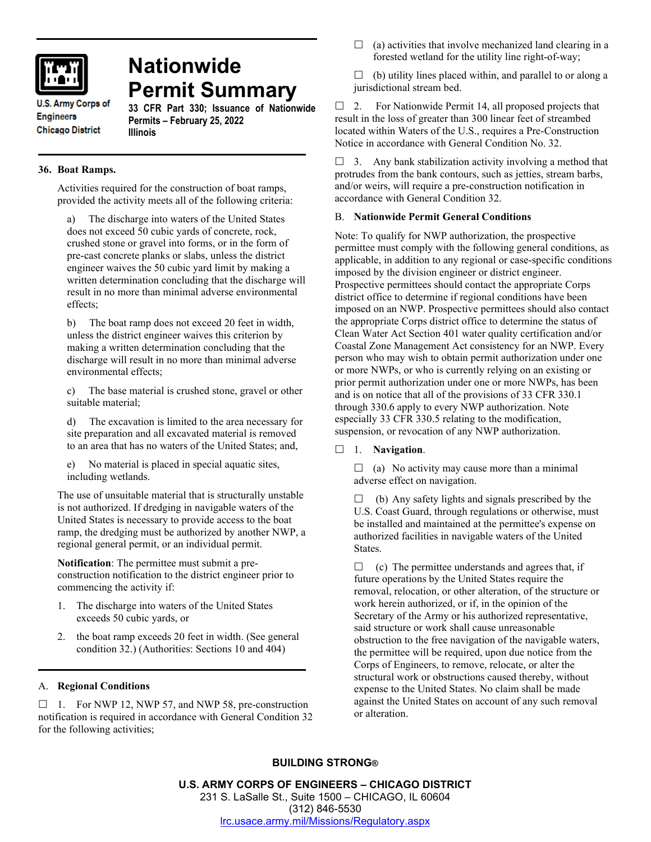

# **Nationwide Permit Summary**

**U.S. Army Corps of Engineers Chicago District** 

**33 CFR Part 330; Issuance of Nationwide Permits – February 25, 2022 Illinois**

## **36. Boat Ramps.**

Activities required for the construction of boat ramps, provided the activity meets all of the following criteria:

a) The discharge into waters of the United States does not exceed 50 cubic yards of concrete, rock, crushed stone or gravel into forms, or in the form of pre-cast concrete planks or slabs, unless the district engineer waives the 50 cubic yard limit by making a written determination concluding that the discharge will result in no more than minimal adverse environmental effects;

b) The boat ramp does not exceed 20 feet in width, unless the district engineer waives this criterion by making a written determination concluding that the discharge will result in no more than minimal adverse environmental effects;

c) The base material is crushed stone, gravel or other suitable material;

d) The excavation is limited to the area necessary for site preparation and all excavated material is removed to an area that has no waters of the United States; and,

e) No material is placed in special aquatic sites, including wetlands.

The use of unsuitable material that is structurally unstable is not authorized. If dredging in navigable waters of the United States is necessary to provide access to the boat ramp, the dredging must be authorized by another NWP, a regional general permit, or an individual permit.

**Notification**: The permittee must submit a preconstruction notification to the district engineer prior to commencing the activity if:

- 1. The discharge into waters of the United States exceeds 50 cubic yards, or
- 2. the boat ramp exceeds 20 feet in width. (See general condition 32.) (Authorities: Sections 10 and 404)

## A. **Regional Conditions**

 $\Box$  1. For NWP 12, NWP 57, and NWP 58, pre-construction notification is required in accordance with General Condition 32 for the following activities;

 $\Box$  (a) activities that involve mechanized land clearing in a forested wetland for the utility line right-of-way;

 $\Box$  (b) utility lines placed within, and parallel to or along a jurisdictional stream bed.

 $\Box$  2. For Nationwide Permit 14, all proposed projects that result in the loss of greater than 300 linear feet of streambed located within Waters of the U.S., requires a Pre-Construction Notice in accordance with General Condition No. 32.

 $\Box$  3. Any bank stabilization activity involving a method that protrudes from the bank contours, such as jetties, stream barbs, and/or weirs, will require a pre-construction notification in accordance with General Condition 32.

## B. **Nationwide Permit General Conditions**

Note: To qualify for NWP authorization, the prospective permittee must comply with the following general conditions, as applicable, in addition to any regional or case-specific conditions imposed by the division engineer or district engineer. Prospective permittees should contact the appropriate Corps district office to determine if regional conditions have been imposed on an NWP. Prospective permittees should also contact the appropriate Corps district office to determine the status of Clean Water Act Section 401 water quality certification and/or Coastal Zone Management Act consistency for an NWP. Every person who may wish to obtain permit authorization under one or more NWPs, or who is currently relying on an existing or prior permit authorization under one or more NWPs, has been and is on notice that all of the provisions of 33 CFR 330.1 through 330.6 apply to every NWP authorization. Note especially 33 CFR 330.5 relating to the modification, suspension, or revocation of any NWP authorization.

## 1. **Navigation**.

 $\Box$  (a) No activity may cause more than a minimal adverse effect on navigation.

 $\Box$  (b) Any safety lights and signals prescribed by the U.S. Coast Guard, through regulations or otherwise, must be installed and maintained at the permittee's expense on authorized facilities in navigable waters of the United States.

 $\Box$  (c) The permittee understands and agrees that, if future operations by the United States require the removal, relocation, or other alteration, of the structure or work herein authorized, or if, in the opinion of the Secretary of the Army or his authorized representative, said structure or work shall cause unreasonable obstruction to the free navigation of the navigable waters, the permittee will be required, upon due notice from the Corps of Engineers, to remove, relocate, or alter the structural work or obstructions caused thereby, without expense to the United States. No claim shall be made against the United States on account of any such removal or alteration.

## **BUILDING STRONG®**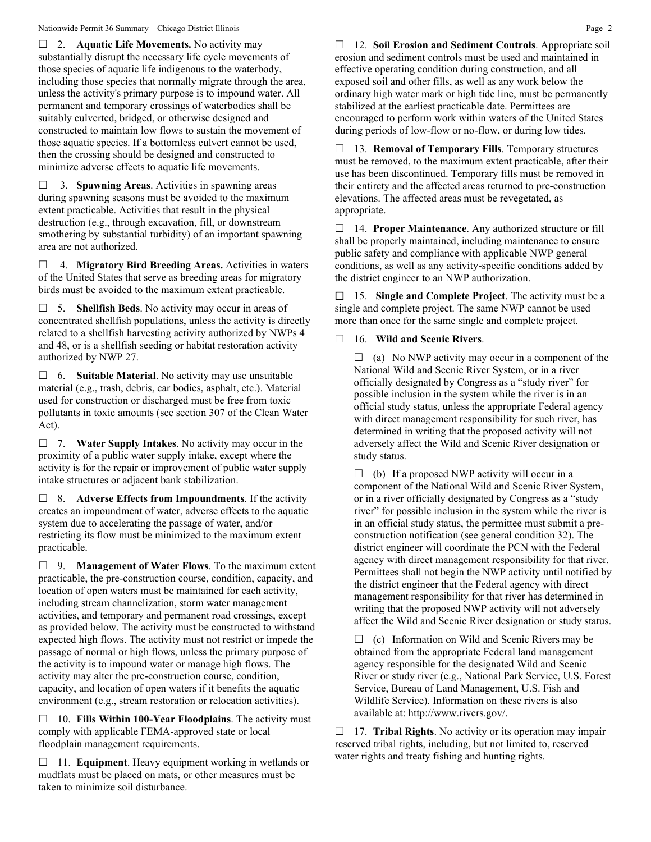2. **Aquatic Life Movements.** No activity may substantially disrupt the necessary life cycle movements of those species of aquatic life indigenous to the waterbody, including those species that normally migrate through the area, unless the activity's primary purpose is to impound water. All permanent and temporary crossings of waterbodies shall be suitably culverted, bridged, or otherwise designed and constructed to maintain low flows to sustain the movement of those aquatic species. If a bottomless culvert cannot be used, then the crossing should be designed and constructed to minimize adverse effects to aquatic life movements.

 3. **Spawning Areas**. Activities in spawning areas during spawning seasons must be avoided to the maximum extent practicable. Activities that result in the physical destruction (e.g., through excavation, fill, or downstream smothering by substantial turbidity) of an important spawning area are not authorized.

 4. **Migratory Bird Breeding Areas.** Activities in waters of the United States that serve as breeding areas for migratory birds must be avoided to the maximum extent practicable.

 5. **Shellfish Beds**. No activity may occur in areas of concentrated shellfish populations, unless the activity is directly related to a shellfish harvesting activity authorized by NWPs 4 and 48, or is a shellfish seeding or habitat restoration activity authorized by NWP 27.

 6. **Suitable Material**. No activity may use unsuitable material (e.g., trash, debris, car bodies, asphalt, etc.). Material used for construction or discharged must be free from toxic pollutants in toxic amounts (see section 307 of the Clean Water Act).

 7. **Water Supply Intakes**. No activity may occur in the proximity of a public water supply intake, except where the activity is for the repair or improvement of public water supply intake structures or adjacent bank stabilization.

 8. **Adverse Effects from Impoundments**. If the activity creates an impoundment of water, adverse effects to the aquatic system due to accelerating the passage of water, and/or restricting its flow must be minimized to the maximum extent practicable.

 9. **Management of Water Flows**. To the maximum extent practicable, the pre-construction course, condition, capacity, and location of open waters must be maintained for each activity, including stream channelization, storm water management activities, and temporary and permanent road crossings, except as provided below. The activity must be constructed to withstand expected high flows. The activity must not restrict or impede the passage of normal or high flows, unless the primary purpose of the activity is to impound water or manage high flows. The activity may alter the pre-construction course, condition, capacity, and location of open waters if it benefits the aquatic environment (e.g., stream restoration or relocation activities).

 10. **Fills Within 100-Year Floodplains**. The activity must comply with applicable FEMA-approved state or local floodplain management requirements.

□ 11. **Equipment**. Heavy equipment working in wetlands or mudflats must be placed on mats, or other measures must be taken to minimize soil disturbance.

 12. **Soil Erosion and Sediment Controls**. Appropriate soil erosion and sediment controls must be used and maintained in effective operating condition during construction, and all exposed soil and other fills, as well as any work below the ordinary high water mark or high tide line, must be permanently stabilized at the earliest practicable date. Permittees are encouraged to perform work within waters of the United States during periods of low-flow or no-flow, or during low tides.

 13. **Removal of Temporary Fills**. Temporary structures must be removed, to the maximum extent practicable, after their use has been discontinued. Temporary fills must be removed in their entirety and the affected areas returned to pre-construction elevations. The affected areas must be revegetated, as appropriate.

 14. **Proper Maintenance**. Any authorized structure or fill shall be properly maintained, including maintenance to ensure public safety and compliance with applicable NWP general conditions, as well as any activity-specific conditions added by the district engineer to an NWP authorization.

 15. **Single and Complete Project**. The activity must be a single and complete project. The same NWP cannot be used more than once for the same single and complete project.

## 16. **Wild and Scenic Rivers**.

 $\Box$  (a) No NWP activity may occur in a component of the National Wild and Scenic River System, or in a river officially designated by Congress as a "study river" for possible inclusion in the system while the river is in an official study status, unless the appropriate Federal agency with direct management responsibility for such river, has determined in writing that the proposed activity will not adversely affect the Wild and Scenic River designation or study status.

 $\Box$  (b) If a proposed NWP activity will occur in a component of the National Wild and Scenic River System, or in a river officially designated by Congress as a "study river" for possible inclusion in the system while the river is in an official study status, the permittee must submit a preconstruction notification (see general condition 32). The district engineer will coordinate the PCN with the Federal agency with direct management responsibility for that river. Permittees shall not begin the NWP activity until notified by the district engineer that the Federal agency with direct management responsibility for that river has determined in writing that the proposed NWP activity will not adversely affect the Wild and Scenic River designation or study status.

 $\Box$  (c) Information on Wild and Scenic Rivers may be obtained from the appropriate Federal land management agency responsible for the designated Wild and Scenic River or study river (e.g., National Park Service, U.S. Forest Service, Bureau of Land Management, U.S. Fish and Wildlife Service). Information on these rivers is also available at: http://www.rivers.gov/.

 17. **Tribal Rights**. No activity or its operation may impair reserved tribal rights, including, but not limited to, reserved water rights and treaty fishing and hunting rights.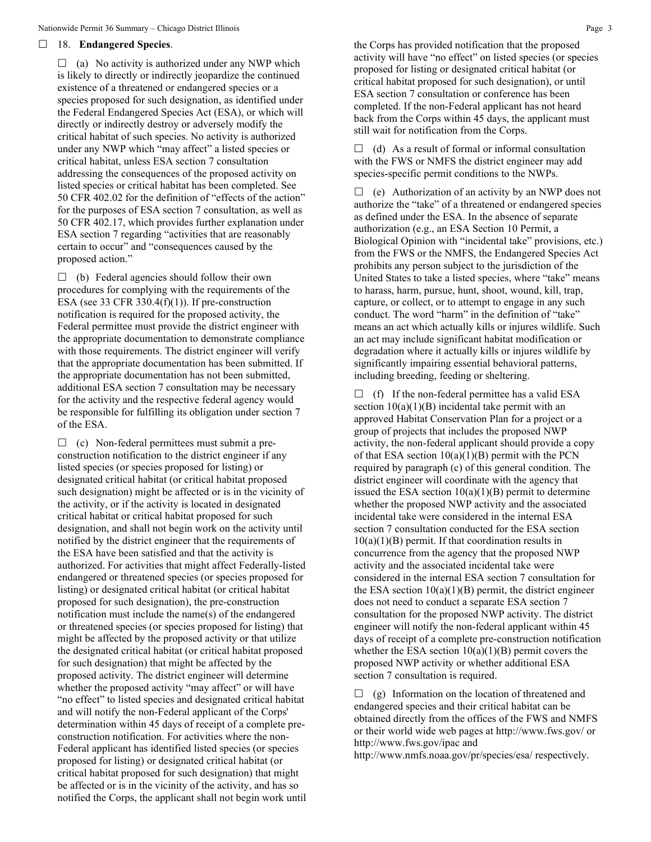#### 18. **Endangered Species**.

 $\Box$  (a) No activity is authorized under any NWP which is likely to directly or indirectly jeopardize the continued existence of a threatened or endangered species or a species proposed for such designation, as identified under the Federal Endangered Species Act (ESA), or which will directly or indirectly destroy or adversely modify the critical habitat of such species. No activity is authorized under any NWP which "may affect" a listed species or critical habitat, unless ESA section 7 consultation addressing the consequences of the proposed activity on listed species or critical habitat has been completed. See 50 CFR 402.02 for the definition of "effects of the action" for the purposes of ESA section 7 consultation, as well as 50 CFR 402.17, which provides further explanation under ESA section 7 regarding "activities that are reasonably certain to occur" and "consequences caused by the proposed action."

 $\Box$  (b) Federal agencies should follow their own procedures for complying with the requirements of the ESA (see 33 CFR 330.4 $(f)(1)$ ). If pre-construction notification is required for the proposed activity, the Federal permittee must provide the district engineer with the appropriate documentation to demonstrate compliance with those requirements. The district engineer will verify that the appropriate documentation has been submitted. If the appropriate documentation has not been submitted, additional ESA section 7 consultation may be necessary for the activity and the respective federal agency would be responsible for fulfilling its obligation under section 7 of the ESA.

 $\Box$  (c) Non-federal permittees must submit a preconstruction notification to the district engineer if any listed species (or species proposed for listing) or designated critical habitat (or critical habitat proposed such designation) might be affected or is in the vicinity of the activity, or if the activity is located in designated critical habitat or critical habitat proposed for such designation, and shall not begin work on the activity until notified by the district engineer that the requirements of the ESA have been satisfied and that the activity is authorized. For activities that might affect Federally-listed endangered or threatened species (or species proposed for listing) or designated critical habitat (or critical habitat proposed for such designation), the pre-construction notification must include the name(s) of the endangered or threatened species (or species proposed for listing) that might be affected by the proposed activity or that utilize the designated critical habitat (or critical habitat proposed for such designation) that might be affected by the proposed activity. The district engineer will determine whether the proposed activity "may affect" or will have "no effect" to listed species and designated critical habitat and will notify the non-Federal applicant of the Corps' determination within 45 days of receipt of a complete preconstruction notification. For activities where the non-Federal applicant has identified listed species (or species proposed for listing) or designated critical habitat (or critical habitat proposed for such designation) that might be affected or is in the vicinity of the activity, and has so notified the Corps, the applicant shall not begin work until the Corps has provided notification that the proposed activity will have "no effect" on listed species (or species proposed for listing or designated critical habitat (or critical habitat proposed for such designation), or until ESA section 7 consultation or conference has been completed. If the non-Federal applicant has not heard back from the Corps within 45 days, the applicant must still wait for notification from the Corps.

 $\Box$  (d) As a result of formal or informal consultation with the FWS or NMFS the district engineer may add species-specific permit conditions to the NWPs.

 $\Box$  (e) Authorization of an activity by an NWP does not authorize the "take" of a threatened or endangered species as defined under the ESA. In the absence of separate authorization (e.g., an ESA Section 10 Permit, a Biological Opinion with "incidental take" provisions, etc.) from the FWS or the NMFS, the Endangered Species Act prohibits any person subject to the jurisdiction of the United States to take a listed species, where "take" means to harass, harm, pursue, hunt, shoot, wound, kill, trap, capture, or collect, or to attempt to engage in any such conduct. The word "harm" in the definition of "take" means an act which actually kills or injures wildlife. Such an act may include significant habitat modification or degradation where it actually kills or injures wildlife by significantly impairing essential behavioral patterns, including breeding, feeding or sheltering.

 $\Box$  (f) If the non-federal permittee has a valid ESA section  $10(a)(1)(B)$  incidental take permit with an approved Habitat Conservation Plan for a project or a group of projects that includes the proposed NWP activity, the non-federal applicant should provide a copy of that ESA section  $10(a)(1)(B)$  permit with the PCN required by paragraph (c) of this general condition. The district engineer will coordinate with the agency that issued the ESA section  $10(a)(1)(B)$  permit to determine whether the proposed NWP activity and the associated incidental take were considered in the internal ESA section 7 consultation conducted for the ESA section  $10(a)(1)(B)$  permit. If that coordination results in concurrence from the agency that the proposed NWP activity and the associated incidental take were considered in the internal ESA section 7 consultation for the ESA section  $10(a)(1)(B)$  permit, the district engineer does not need to conduct a separate ESA section 7 consultation for the proposed NWP activity. The district engineer will notify the non-federal applicant within 45 days of receipt of a complete pre-construction notification whether the ESA section  $10(a)(1)(B)$  permit covers the proposed NWP activity or whether additional ESA section 7 consultation is required.

 $\Box$  (g) Information on the location of threatened and endangered species and their critical habitat can be obtained directly from the offices of the FWS and NMFS or their world wide web pages at http://www.fws.gov/ or http://www.fws.gov/ipac and

http://www.nmfs.noaa.gov/pr/species/esa/ respectively.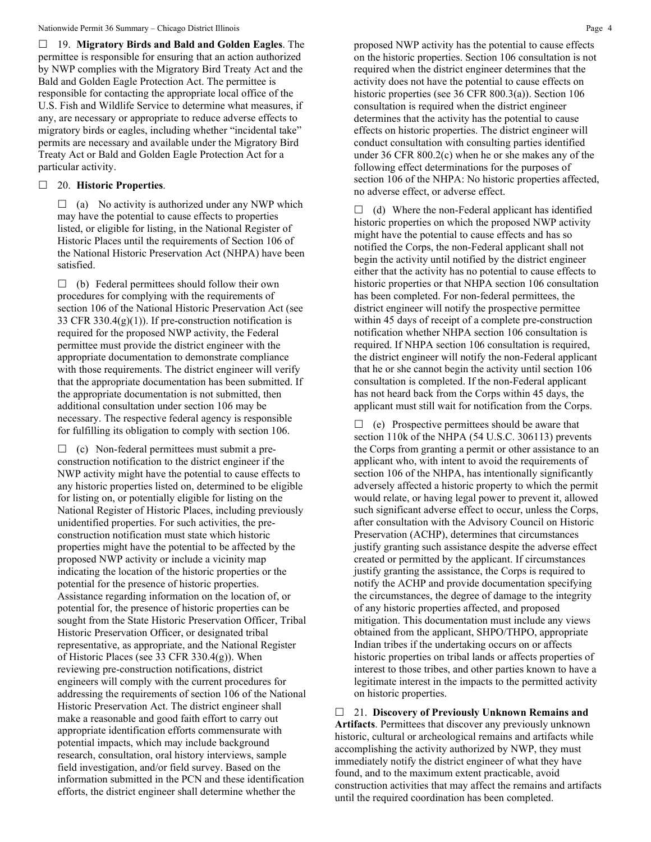19. **Migratory Birds and Bald and Golden Eagles**. The permittee is responsible for ensuring that an action authorized by NWP complies with the Migratory Bird Treaty Act and the Bald and Golden Eagle Protection Act. The permittee is responsible for contacting the appropriate local office of the U.S. Fish and Wildlife Service to determine what measures, if any, are necessary or appropriate to reduce adverse effects to migratory birds or eagles, including whether "incidental take" permits are necessary and available under the Migratory Bird Treaty Act or Bald and Golden Eagle Protection Act for a particular activity.

## 20. **Historic Properties**.

 $\Box$  (a) No activity is authorized under any NWP which may have the potential to cause effects to properties listed, or eligible for listing, in the National Register of Historic Places until the requirements of Section 106 of the National Historic Preservation Act (NHPA) have been satisfied.

 $\Box$  (b) Federal permittees should follow their own procedures for complying with the requirements of section 106 of the National Historic Preservation Act (see 33 CFR 330.4(g)(1)). If pre-construction notification is required for the proposed NWP activity, the Federal permittee must provide the district engineer with the appropriate documentation to demonstrate compliance with those requirements. The district engineer will verify that the appropriate documentation has been submitted. If the appropriate documentation is not submitted, then additional consultation under section 106 may be necessary. The respective federal agency is responsible for fulfilling its obligation to comply with section 106.

 $\Box$  (c) Non-federal permittees must submit a preconstruction notification to the district engineer if the NWP activity might have the potential to cause effects to any historic properties listed on, determined to be eligible for listing on, or potentially eligible for listing on the National Register of Historic Places, including previously unidentified properties. For such activities, the preconstruction notification must state which historic properties might have the potential to be affected by the proposed NWP activity or include a vicinity map indicating the location of the historic properties or the potential for the presence of historic properties. Assistance regarding information on the location of, or potential for, the presence of historic properties can be sought from the State Historic Preservation Officer, Tribal Historic Preservation Officer, or designated tribal representative, as appropriate, and the National Register of Historic Places (see 33 CFR 330.4(g)). When reviewing pre-construction notifications, district engineers will comply with the current procedures for addressing the requirements of section 106 of the National Historic Preservation Act. The district engineer shall make a reasonable and good faith effort to carry out appropriate identification efforts commensurate with potential impacts, which may include background research, consultation, oral history interviews, sample field investigation, and/or field survey. Based on the information submitted in the PCN and these identification efforts, the district engineer shall determine whether the

proposed NWP activity has the potential to cause effects on the historic properties. Section 106 consultation is not required when the district engineer determines that the activity does not have the potential to cause effects on historic properties (see 36 CFR 800.3(a)). Section 106 consultation is required when the district engineer determines that the activity has the potential to cause effects on historic properties. The district engineer will conduct consultation with consulting parties identified under 36 CFR 800.2(c) when he or she makes any of the following effect determinations for the purposes of section 106 of the NHPA: No historic properties affected, no adverse effect, or adverse effect.

 $\Box$  (d) Where the non-Federal applicant has identified historic properties on which the proposed NWP activity might have the potential to cause effects and has so notified the Corps, the non-Federal applicant shall not begin the activity until notified by the district engineer either that the activity has no potential to cause effects to historic properties or that NHPA section 106 consultation has been completed. For non-federal permittees, the district engineer will notify the prospective permittee within 45 days of receipt of a complete pre-construction notification whether NHPA section 106 consultation is required. If NHPA section 106 consultation is required, the district engineer will notify the non-Federal applicant that he or she cannot begin the activity until section 106 consultation is completed. If the non-Federal applicant has not heard back from the Corps within 45 days, the applicant must still wait for notification from the Corps.

 $\Box$  (e) Prospective permittees should be aware that section 110k of the NHPA (54 U.S.C. 306113) prevents the Corps from granting a permit or other assistance to an applicant who, with intent to avoid the requirements of section 106 of the NHPA, has intentionally significantly adversely affected a historic property to which the permit would relate, or having legal power to prevent it, allowed such significant adverse effect to occur, unless the Corps, after consultation with the Advisory Council on Historic Preservation (ACHP), determines that circumstances justify granting such assistance despite the adverse effect created or permitted by the applicant. If circumstances justify granting the assistance, the Corps is required to notify the ACHP and provide documentation specifying the circumstances, the degree of damage to the integrity of any historic properties affected, and proposed mitigation. This documentation must include any views obtained from the applicant, SHPO/THPO, appropriate Indian tribes if the undertaking occurs on or affects historic properties on tribal lands or affects properties of interest to those tribes, and other parties known to have a legitimate interest in the impacts to the permitted activity on historic properties.

 21. **Discovery of Previously Unknown Remains and Artifacts**. Permittees that discover any previously unknown historic, cultural or archeological remains and artifacts while accomplishing the activity authorized by NWP, they must immediately notify the district engineer of what they have found, and to the maximum extent practicable, avoid construction activities that may affect the remains and artifacts until the required coordination has been completed.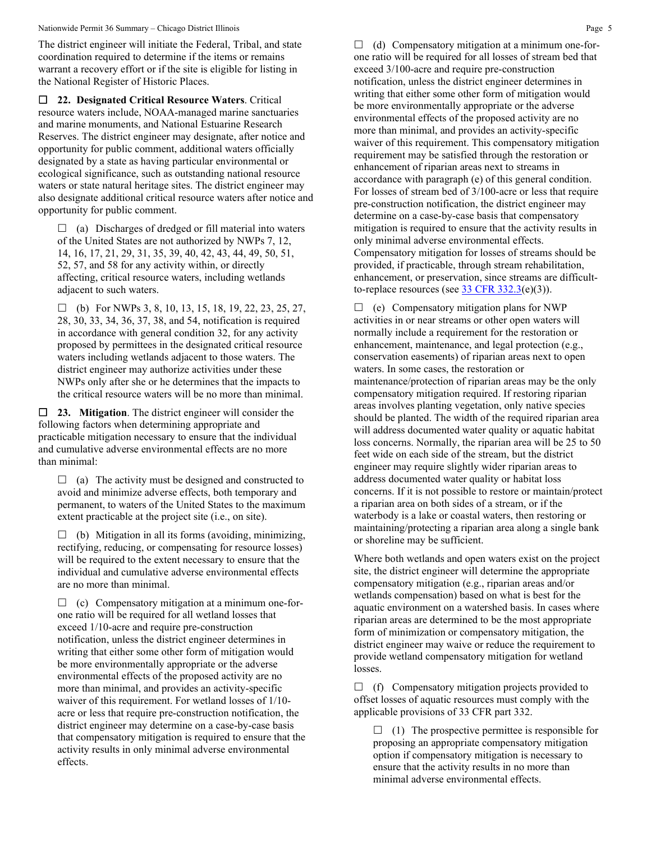Nationwide Permit 36 Summary – Chicago District Illinois **Page 5** All the state of the state of the state of the state of the state of the state of the state of the state of the state of the state of the state of the state

The district engineer will initiate the Federal, Tribal, and state coordination required to determine if the items or remains warrant a recovery effort or if the site is eligible for listing in the National Register of Historic Places.

 **22. Designated Critical Resource Waters**. Critical resource waters include, NOAA-managed marine sanctuaries and marine monuments, and National Estuarine Research Reserves. The district engineer may designate, after notice and opportunity for public comment, additional waters officially designated by a state as having particular environmental or ecological significance, such as outstanding national resource waters or state natural heritage sites. The district engineer may also designate additional critical resource waters after notice and opportunity for public comment.

 $\Box$  (a) Discharges of dredged or fill material into waters of the United States are not authorized by NWPs 7, 12, 14, 16, 17, 21, 29, 31, 35, 39, 40, 42, 43, 44, 49, 50, 51, 52, 57, and 58 for any activity within, or directly affecting, critical resource waters, including wetlands adjacent to such waters.

 $\Box$  (b) For NWPs 3, 8, 10, 13, 15, 18, 19, 22, 23, 25, 27, 28, 30, 33, 34, 36, 37, 38, and 54, notification is required in accordance with general condition 32, for any activity proposed by permittees in the designated critical resource waters including wetlands adjacent to those waters. The district engineer may authorize activities under these NWPs only after she or he determines that the impacts to the critical resource waters will be no more than minimal.

 **23. Mitigation**. The district engineer will consider the following factors when determining appropriate and practicable mitigation necessary to ensure that the individual and cumulative adverse environmental effects are no more than minimal:

 $\Box$  (a) The activity must be designed and constructed to avoid and minimize adverse effects, both temporary and permanent, to waters of the United States to the maximum extent practicable at the project site (i.e., on site).

 $\Box$  (b) Mitigation in all its forms (avoiding, minimizing, rectifying, reducing, or compensating for resource losses) will be required to the extent necessary to ensure that the individual and cumulative adverse environmental effects are no more than minimal.

 $\Box$  (c) Compensatory mitigation at a minimum one-forone ratio will be required for all wetland losses that exceed 1/10-acre and require pre-construction notification, unless the district engineer determines in writing that either some other form of mitigation would be more environmentally appropriate or the adverse environmental effects of the proposed activity are no more than minimal, and provides an activity-specific waiver of this requirement. For wetland losses of 1/10 acre or less that require pre-construction notification, the district engineer may determine on a case-by-case basis that compensatory mitigation is required to ensure that the activity results in only minimal adverse environmental effects.

 $\Box$  (d) Compensatory mitigation at a minimum one-forone ratio will be required for all losses of stream bed that exceed 3/100-acre and require pre-construction notification, unless the district engineer determines in writing that either some other form of mitigation would be more environmentally appropriate or the adverse environmental effects of the proposed activity are no more than minimal, and provides an activity-specific waiver of this requirement. This compensatory mitigation requirement may be satisfied through the restoration or enhancement of riparian areas next to streams in accordance with paragraph (e) of this general condition. For losses of stream bed of 3/100-acre or less that require pre-construction notification, the district engineer may determine on a case-by-case basis that compensatory mitigation is required to ensure that the activity results in only minimal adverse environmental effects. Compensatory mitigation for losses of streams should be provided, if practicable, through stream rehabilitation, enhancement, or preservation, since streams are difficultto-replace resources (see  $33 \text{ CFR } 332.3(e)(3)$ ).

 $\Box$  (e) Compensatory mitigation plans for NWP activities in or near streams or other open waters will normally include a requirement for the restoration or enhancement, maintenance, and legal protection (e.g., conservation easements) of riparian areas next to open waters. In some cases, the restoration or maintenance/protection of riparian areas may be the only compensatory mitigation required. If restoring riparian areas involves planting vegetation, only native species should be planted. The width of the required riparian area will address documented water quality or aquatic habitat loss concerns. Normally, the riparian area will be 25 to 50 feet wide on each side of the stream, but the district engineer may require slightly wider riparian areas to address documented water quality or habitat loss concerns. If it is not possible to restore or maintain/protect a riparian area on both sides of a stream, or if the waterbody is a lake or coastal waters, then restoring or maintaining/protecting a riparian area along a single bank or shoreline may be sufficient.

Where both wetlands and open waters exist on the project site, the district engineer will determine the appropriate compensatory mitigation (e.g., riparian areas and/or wetlands compensation) based on what is best for the aquatic environment on a watershed basis. In cases where riparian areas are determined to be the most appropriate form of minimization or compensatory mitigation, the district engineer may waive or reduce the requirement to provide wetland compensatory mitigation for wetland losses.

 $\Box$  (f) Compensatory mitigation projects provided to offset losses of aquatic resources must comply with the applicable provisions of 33 CFR part 332.

 $\Box$  (1) The prospective permittee is responsible for proposing an appropriate compensatory mitigation option if compensatory mitigation is necessary to ensure that the activity results in no more than minimal adverse environmental effects.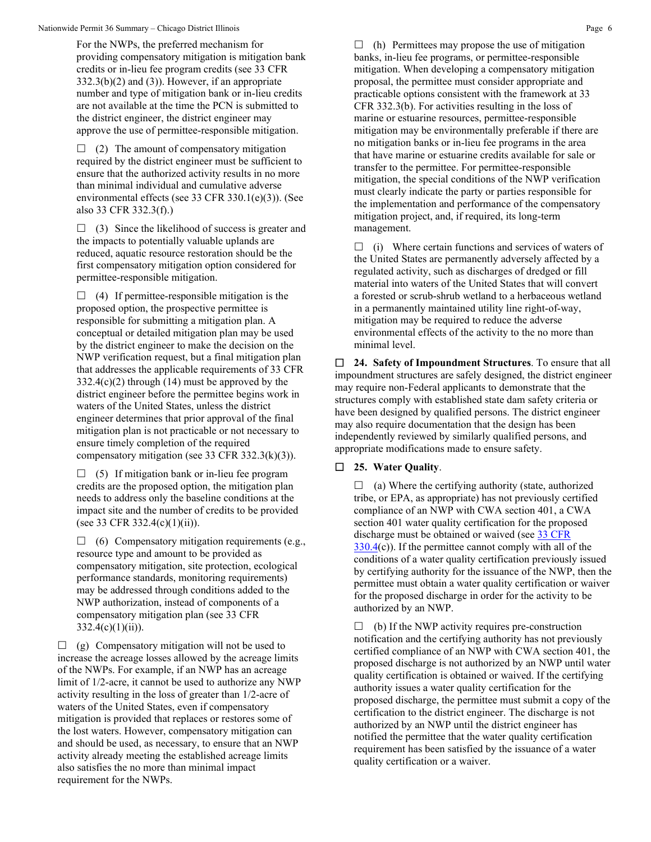For the NWPs, the preferred mechanism for providing compensatory mitigation is mitigation bank credits or in-lieu fee program credits (see 33 CFR  $332.3(b)(2)$  and  $(3)$ ). However, if an appropriate number and type of mitigation bank or in-lieu credits are not available at the time the PCN is submitted to the district engineer, the district engineer may approve the use of permittee-responsible mitigation.

 $\Box$  (2) The amount of compensatory mitigation required by the district engineer must be sufficient to ensure that the authorized activity results in no more than minimal individual and cumulative adverse environmental effects (see 33 CFR 330.1(e)(3)). (See also 33 CFR 332.3(f).)

 $\Box$  (3) Since the likelihood of success is greater and the impacts to potentially valuable uplands are reduced, aquatic resource restoration should be the first compensatory mitigation option considered for permittee-responsible mitigation.

 $\Box$  (4) If permittee-responsible mitigation is the proposed option, the prospective permittee is responsible for submitting a mitigation plan. A conceptual or detailed mitigation plan may be used by the district engineer to make the decision on the NWP verification request, but a final mitigation plan that addresses the applicable requirements of 33 CFR  $332.4(c)(2)$  through (14) must be approved by the district engineer before the permittee begins work in waters of the United States, unless the district engineer determines that prior approval of the final mitigation plan is not practicable or not necessary to ensure timely completion of the required compensatory mitigation (see 33 CFR 332.3(k)(3)).

 $\Box$  (5) If mitigation bank or in-lieu fee program credits are the proposed option, the mitigation plan needs to address only the baseline conditions at the impact site and the number of credits to be provided (see 33 CFR 332.4(c)(1)(ii)).

 $\Box$  (6) Compensatory mitigation requirements (e.g., resource type and amount to be provided as compensatory mitigation, site protection, ecological performance standards, monitoring requirements) may be addressed through conditions added to the NWP authorization, instead of components of a compensatory mitigation plan (see 33 CFR  $332.4(c)(1)(ii)$ .

 $\Box$  (g) Compensatory mitigation will not be used to increase the acreage losses allowed by the acreage limits of the NWPs. For example, if an NWP has an acreage limit of 1/2-acre, it cannot be used to authorize any NWP activity resulting in the loss of greater than 1/2-acre of waters of the United States, even if compensatory mitigation is provided that replaces or restores some of the lost waters. However, compensatory mitigation can and should be used, as necessary, to ensure that an NWP activity already meeting the established acreage limits also satisfies the no more than minimal impact requirement for the NWPs.

 $\Box$  (h) Permittees may propose the use of mitigation banks, in-lieu fee programs, or permittee-responsible mitigation. When developing a compensatory mitigation proposal, the permittee must consider appropriate and practicable options consistent with the framework at 33 CFR 332.3(b). For activities resulting in the loss of marine or estuarine resources, permittee-responsible mitigation may be environmentally preferable if there are no mitigation banks or in-lieu fee programs in the area that have marine or estuarine credits available for sale or transfer to the permittee. For permittee-responsible mitigation, the special conditions of the NWP verification must clearly indicate the party or parties responsible for the implementation and performance of the compensatory mitigation project, and, if required, its long-term management.

 $\Box$  (i) Where certain functions and services of waters of the United States are permanently adversely affected by a regulated activity, such as discharges of dredged or fill material into waters of the United States that will convert a forested or scrub-shrub wetland to a herbaceous wetland in a permanently maintained utility line right-of-way, mitigation may be required to reduce the adverse environmental effects of the activity to the no more than minimal level.

 **24. Safety of Impoundment Structures**. To ensure that all impoundment structures are safely designed, the district engineer may require non-Federal applicants to demonstrate that the structures comply with established state dam safety criteria or have been designed by qualified persons. The district engineer may also require documentation that the design has been independently reviewed by similarly qualified persons, and appropriate modifications made to ensure safety.

## **25. Water Quality**.

 $\Box$  (a) Where the certifying authority (state, authorized tribe, or EPA, as appropriate) has not previously certified compliance of an NWP with CWA section 401, a CWA section 401 water quality certification for the proposed discharge must be obtained or waived (see 33 CFR [330.4\(](https://www.federalregister.gov/select-citation/2021/01/13/33-CFR-330.4)c)). If the permittee cannot comply with all of the conditions of a water quality certification previously issued by certifying authority for the issuance of the NWP, then the permittee must obtain a water quality certification or waiver for the proposed discharge in order for the activity to be authorized by an NWP.

 $\Box$  (b) If the NWP activity requires pre-construction notification and the certifying authority has not previously certified compliance of an NWP with CWA section 401, the proposed discharge is not authorized by an NWP until water quality certification is obtained or waived. If the certifying authority issues a water quality certification for the proposed discharge, the permittee must submit a copy of the certification to the district engineer. The discharge is not authorized by an NWP until the district engineer has notified the permittee that the water quality certification requirement has been satisfied by the issuance of a water quality certification or a waiver.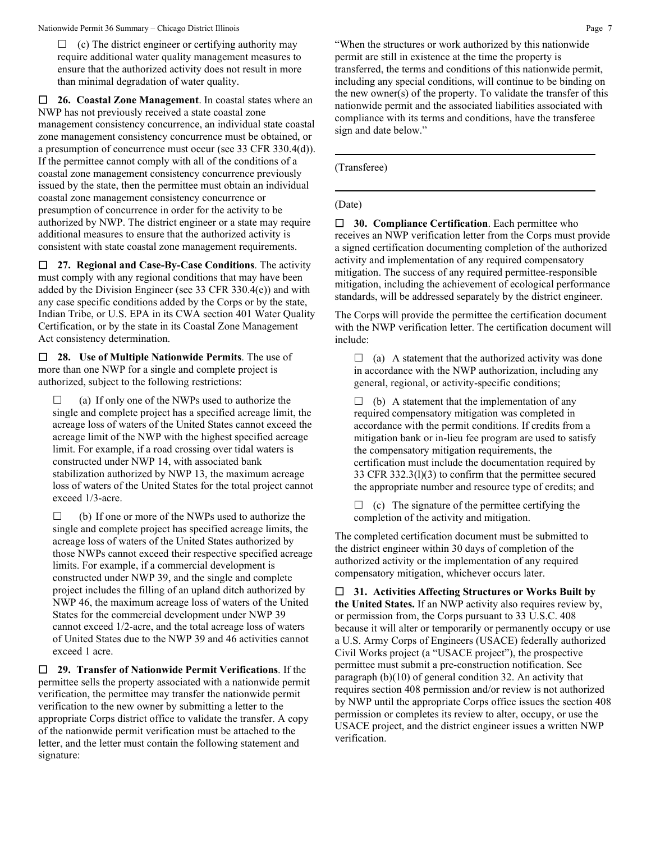$\Box$  (c) The district engineer or certifying authority may require additional water quality management measures to ensure that the authorized activity does not result in more than minimal degradation of water quality.

 **26. Coastal Zone Management**. In coastal states where an NWP has not previously received a state coastal zone management consistency concurrence, an individual state coastal zone management consistency concurrence must be obtained, or a presumption of concurrence must occur (see 33 CFR 330.4(d)). If the permittee cannot comply with all of the conditions of a coastal zone management consistency concurrence previously issued by the state, then the permittee must obtain an individual coastal zone management consistency concurrence or presumption of concurrence in order for the activity to be authorized by NWP. The district engineer or a state may require additional measures to ensure that the authorized activity is consistent with state coastal zone management requirements.

 **27. Regional and Case-By-Case Conditions**. The activity must comply with any regional conditions that may have been added by the Division Engineer (see 33 CFR 330.4(e)) and with any case specific conditions added by the Corps or by the state, Indian Tribe, or U.S. EPA in its CWA section 401 Water Quality Certification, or by the state in its Coastal Zone Management Act consistency determination.

 **28. Use of Multiple Nationwide Permits**. The use of more than one NWP for a single and complete project is authorized, subject to the following restrictions:

 $\Box$  (a) If only one of the NWPs used to authorize the single and complete project has a specified acreage limit, the acreage loss of waters of the United States cannot exceed the acreage limit of the NWP with the highest specified acreage limit. For example, if a road crossing over tidal waters is constructed under NWP 14, with associated bank stabilization authorized by NWP 13, the maximum acreage loss of waters of the United States for the total project cannot exceed 1/3-acre.

 $\Box$  (b) If one or more of the NWPs used to authorize the single and complete project has specified acreage limits, the acreage loss of waters of the United States authorized by those NWPs cannot exceed their respective specified acreage limits. For example, if a commercial development is constructed under NWP 39, and the single and complete project includes the filling of an upland ditch authorized by NWP 46, the maximum acreage loss of waters of the United States for the commercial development under NWP 39 cannot exceed 1/2-acre, and the total acreage loss of waters of United States due to the NWP 39 and 46 activities cannot exceed 1 acre.

 **29. Transfer of Nationwide Permit Verifications**. If the permittee sells the property associated with a nationwide permit verification, the permittee may transfer the nationwide permit verification to the new owner by submitting a letter to the appropriate Corps district office to validate the transfer. A copy of the nationwide permit verification must be attached to the letter, and the letter must contain the following statement and signature:

"When the structures or work authorized by this nationwide permit are still in existence at the time the property is transferred, the terms and conditions of this nationwide permit, including any special conditions, will continue to be binding on the new owner(s) of the property. To validate the transfer of this nationwide permit and the associated liabilities associated with compliance with its terms and conditions, have the transferee sign and date below."

(Transferee)

## (Date)

 **30. Compliance Certification**. Each permittee who receives an NWP verification letter from the Corps must provide a signed certification documenting completion of the authorized activity and implementation of any required compensatory mitigation. The success of any required permittee-responsible mitigation, including the achievement of ecological performance standards, will be addressed separately by the district engineer.

The Corps will provide the permittee the certification document with the NWP verification letter. The certification document will include:

 $\Box$  (a) A statement that the authorized activity was done in accordance with the NWP authorization, including any general, regional, or activity-specific conditions;

 $\Box$  (b) A statement that the implementation of any required compensatory mitigation was completed in accordance with the permit conditions. If credits from a mitigation bank or in-lieu fee program are used to satisfy the compensatory mitigation requirements, the certification must include the documentation required by 33 CFR 332.3(l)(3) to confirm that the permittee secured the appropriate number and resource type of credits; and

 $\Box$  (c) The signature of the permittee certifying the completion of the activity and mitigation.

The completed certification document must be submitted to the district engineer within 30 days of completion of the authorized activity or the implementation of any required compensatory mitigation, whichever occurs later.

 **31. Activities Affecting Structures or Works Built by the United States.** If an NWP activity also requires review by, or permission from, the Corps pursuant to 33 U.S.C. 408 because it will alter or temporarily or permanently occupy or use a U.S. Army Corps of Engineers (USACE) federally authorized Civil Works project (a "USACE project"), the prospective permittee must submit a pre-construction notification. See paragraph (b)(10) of general condition 32. An activity that requires section 408 permission and/or review is not authorized by NWP until the appropriate Corps office issues the section 408 permission or completes its review to alter, occupy, or use the USACE project, and the district engineer issues a written NWP verification.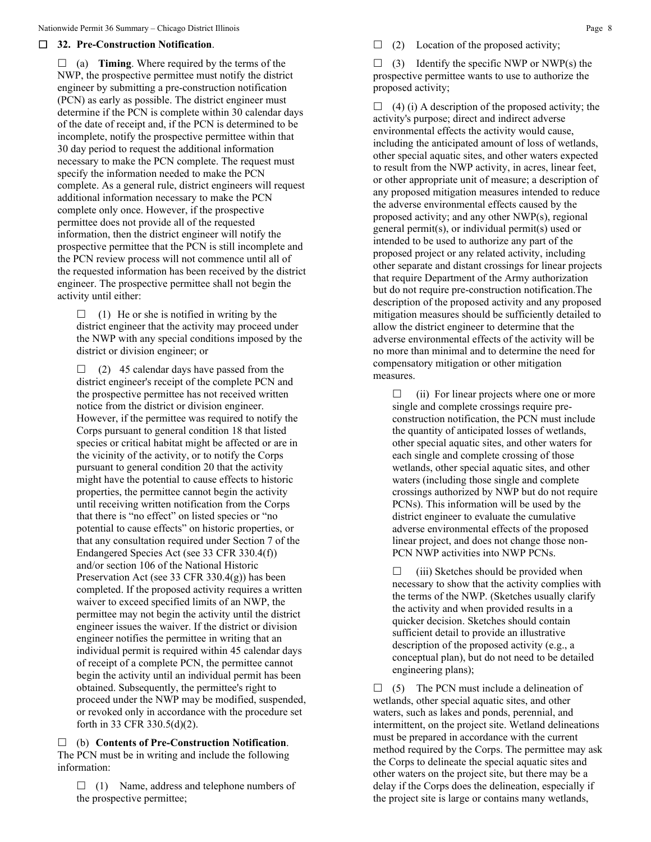## **32. Pre-Construction Notification**.

 $\Box$  (a) **Timing**. Where required by the terms of the NWP, the prospective permittee must notify the district engineer by submitting a pre-construction notification (PCN) as early as possible. The district engineer must determine if the PCN is complete within 30 calendar days of the date of receipt and, if the PCN is determined to be incomplete, notify the prospective permittee within that 30 day period to request the additional information necessary to make the PCN complete. The request must specify the information needed to make the PCN complete. As a general rule, district engineers will request additional information necessary to make the PCN complete only once. However, if the prospective permittee does not provide all of the requested information, then the district engineer will notify the prospective permittee that the PCN is still incomplete and the PCN review process will not commence until all of the requested information has been received by the district engineer. The prospective permittee shall not begin the activity until either:

 $\Box$  (1) He or she is notified in writing by the district engineer that the activity may proceed under the NWP with any special conditions imposed by the district or division engineer; or

 $\Box$  (2) 45 calendar days have passed from the district engineer's receipt of the complete PCN and the prospective permittee has not received written notice from the district or division engineer. However, if the permittee was required to notify the Corps pursuant to general condition 18 that listed species or critical habitat might be affected or are in the vicinity of the activity, or to notify the Corps pursuant to general condition 20 that the activity might have the potential to cause effects to historic properties, the permittee cannot begin the activity until receiving written notification from the Corps that there is "no effect" on listed species or "no potential to cause effects" on historic properties, or that any consultation required under Section 7 of the Endangered Species Act (see 33 CFR 330.4(f)) and/or section 106 of the National Historic Preservation Act (see 33 CFR 330.4(g)) has been completed. If the proposed activity requires a written waiver to exceed specified limits of an NWP, the permittee may not begin the activity until the district engineer issues the waiver. If the district or division engineer notifies the permittee in writing that an individual permit is required within 45 calendar days of receipt of a complete PCN, the permittee cannot begin the activity until an individual permit has been obtained. Subsequently, the permittee's right to proceed under the NWP may be modified, suspended, or revoked only in accordance with the procedure set forth in 33 CFR 330.5(d)(2).

 (b) **Contents of Pre-Construction Notification**. The PCN must be in writing and include the following information:

 $\Box$  (1) Name, address and telephone numbers of the prospective permittee;

 $\Box$  (2) Location of the proposed activity;

 $\Box$  (3) Identify the specific NWP or NWP(s) the prospective permittee wants to use to authorize the proposed activity;

 $\Box$  (4) (i) A description of the proposed activity; the activity's purpose; direct and indirect adverse environmental effects the activity would cause, including the anticipated amount of loss of wetlands, other special aquatic sites, and other waters expected to result from the NWP activity, in acres, linear feet, or other appropriate unit of measure; a description of any proposed mitigation measures intended to reduce the adverse environmental effects caused by the proposed activity; and any other NWP(s), regional general permit(s), or individual permit(s) used or intended to be used to authorize any part of the proposed project or any related activity, including other separate and distant crossings for linear projects that require Department of the Army authorization but do not require pre-construction notification.The description of the proposed activity and any proposed mitigation measures should be sufficiently detailed to allow the district engineer to determine that the adverse environmental effects of the activity will be no more than minimal and to determine the need for compensatory mitigation or other mitigation measures.

 $\Box$  (ii) For linear projects where one or more single and complete crossings require preconstruction notification, the PCN must include the quantity of anticipated losses of wetlands, other special aquatic sites, and other waters for each single and complete crossing of those wetlands, other special aquatic sites, and other waters (including those single and complete crossings authorized by NWP but do not require PCNs). This information will be used by the district engineer to evaluate the cumulative adverse environmental effects of the proposed linear project, and does not change those non-PCN NWP activities into NWP PCNs.

 $\Box$  (iii) Sketches should be provided when necessary to show that the activity complies with the terms of the NWP. (Sketches usually clarify the activity and when provided results in a quicker decision. Sketches should contain sufficient detail to provide an illustrative description of the proposed activity (e.g., a conceptual plan), but do not need to be detailed engineering plans);

 $\Box$  (5) The PCN must include a delineation of wetlands, other special aquatic sites, and other waters, such as lakes and ponds, perennial, and intermittent, on the project site. Wetland delineations must be prepared in accordance with the current method required by the Corps. The permittee may ask the Corps to delineate the special aquatic sites and other waters on the project site, but there may be a delay if the Corps does the delineation, especially if the project site is large or contains many wetlands,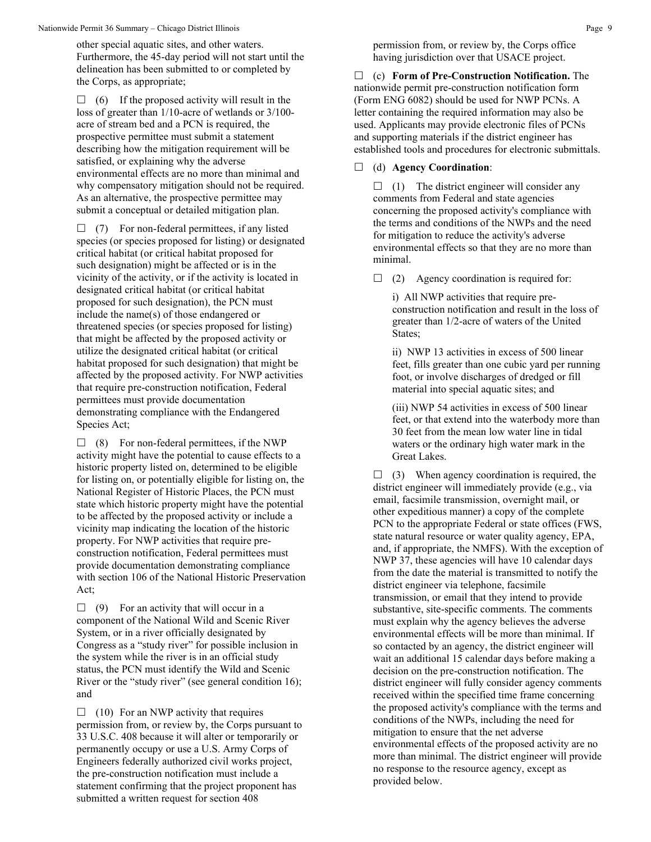other special aquatic sites, and other waters. Furthermore, the 45-day period will not start until the delineation has been submitted to or completed by the Corps, as appropriate;

 $\Box$  (6) If the proposed activity will result in the loss of greater than 1/10-acre of wetlands or 3/100 acre of stream bed and a PCN is required, the prospective permittee must submit a statement describing how the mitigation requirement will be satisfied, or explaining why the adverse environmental effects are no more than minimal and why compensatory mitigation should not be required. As an alternative, the prospective permittee may submit a conceptual or detailed mitigation plan.

 $\Box$  (7) For non-federal permittees, if any listed species (or species proposed for listing) or designated critical habitat (or critical habitat proposed for such designation) might be affected or is in the vicinity of the activity, or if the activity is located in designated critical habitat (or critical habitat proposed for such designation), the PCN must include the name(s) of those endangered or threatened species (or species proposed for listing) that might be affected by the proposed activity or utilize the designated critical habitat (or critical habitat proposed for such designation) that might be affected by the proposed activity. For NWP activities that require pre-construction notification, Federal permittees must provide documentation demonstrating compliance with the Endangered Species Act;

 $\Box$  (8) For non-federal permittees, if the NWP activity might have the potential to cause effects to a historic property listed on, determined to be eligible for listing on, or potentially eligible for listing on, the National Register of Historic Places, the PCN must state which historic property might have the potential to be affected by the proposed activity or include a vicinity map indicating the location of the historic property. For NWP activities that require preconstruction notification, Federal permittees must provide documentation demonstrating compliance with section 106 of the National Historic Preservation Act;

 $\Box$  (9) For an activity that will occur in a component of the National Wild and Scenic River System, or in a river officially designated by Congress as a "study river" for possible inclusion in the system while the river is in an official study status, the PCN must identify the Wild and Scenic River or the "study river" (see general condition 16); and

 $\Box$  (10) For an NWP activity that requires permission from, or review by, the Corps pursuant to 33 U.S.C. 408 because it will alter or temporarily or permanently occupy or use a U.S. Army Corps of Engineers federally authorized civil works project, the pre-construction notification must include a statement confirming that the project proponent has submitted a written request for section 408

permission from, or review by, the Corps office having jurisdiction over that USACE project.

 (c) **Form of Pre-Construction Notification.** The nationwide permit pre-construction notification form (Form ENG 6082) should be used for NWP PCNs. A letter containing the required information may also be used. Applicants may provide electronic files of PCNs and supporting materials if the district engineer has established tools and procedures for electronic submittals.

(d) **Agency Coordination**:

 $\Box$  (1) The district engineer will consider any comments from Federal and state agencies concerning the proposed activity's compliance with the terms and conditions of the NWPs and the need for mitigation to reduce the activity's adverse environmental effects so that they are no more than minimal.

 $\Box$  (2) Agency coordination is required for:

i) All NWP activities that require preconstruction notification and result in the loss of greater than 1/2-acre of waters of the United States;

ii) NWP 13 activities in excess of 500 linear feet, fills greater than one cubic yard per running foot, or involve discharges of dredged or fill material into special aquatic sites; and

(iii) NWP 54 activities in excess of 500 linear feet, or that extend into the waterbody more than 30 feet from the mean low water line in tidal waters or the ordinary high water mark in the Great Lakes.

 $\Box$  (3) When agency coordination is required, the district engineer will immediately provide (e.g., via email, facsimile transmission, overnight mail, or other expeditious manner) a copy of the complete PCN to the appropriate Federal or state offices (FWS, state natural resource or water quality agency, EPA, and, if appropriate, the NMFS). With the exception of NWP 37, these agencies will have 10 calendar days from the date the material is transmitted to notify the district engineer via telephone, facsimile transmission, or email that they intend to provide substantive, site-specific comments. The comments must explain why the agency believes the adverse environmental effects will be more than minimal. If so contacted by an agency, the district engineer will wait an additional 15 calendar days before making a decision on the pre-construction notification. The district engineer will fully consider agency comments received within the specified time frame concerning the proposed activity's compliance with the terms and conditions of the NWPs, including the need for mitigation to ensure that the net adverse environmental effects of the proposed activity are no more than minimal. The district engineer will provide no response to the resource agency, except as provided below.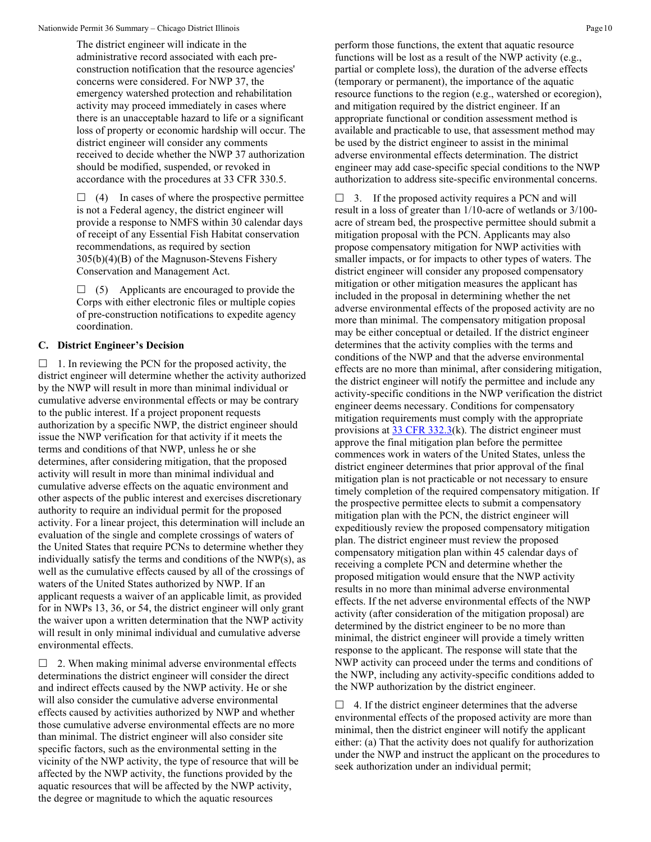The district engineer will indicate in the administrative record associated with each preconstruction notification that the resource agencies' concerns were considered. For NWP 37, the emergency watershed protection and rehabilitation activity may proceed immediately in cases where there is an unacceptable hazard to life or a significant loss of property or economic hardship will occur. The district engineer will consider any comments received to decide whether the NWP 37 authorization should be modified, suspended, or revoked in accordance with the procedures at 33 CFR 330.5.

 $\Box$  (4) In cases of where the prospective permittee is not a Federal agency, the district engineer will provide a response to NMFS within 30 calendar days of receipt of any Essential Fish Habitat conservation recommendations, as required by section 305(b)(4)(B) of the Magnuson-Stevens Fishery Conservation and Management Act.

 $\Box$  (5) Applicants are encouraged to provide the Corps with either electronic files or multiple copies of pre-construction notifications to expedite agency coordination.

#### **C. District Engineer's Decision**

 $\Box$  1. In reviewing the PCN for the proposed activity, the district engineer will determine whether the activity authorized by the NWP will result in more than minimal individual or cumulative adverse environmental effects or may be contrary to the public interest. If a project proponent requests authorization by a specific NWP, the district engineer should issue the NWP verification for that activity if it meets the terms and conditions of that NWP, unless he or she determines, after considering mitigation, that the proposed activity will result in more than minimal individual and cumulative adverse effects on the aquatic environment and other aspects of the public interest and exercises discretionary authority to require an individual permit for the proposed activity. For a linear project, this determination will include an evaluation of the single and complete crossings of waters of the United States that require PCNs to determine whether they individually satisfy the terms and conditions of the NWP(s), as well as the cumulative effects caused by all of the crossings of waters of the United States authorized by NWP. If an applicant requests a waiver of an applicable limit, as provided for in NWPs 13, 36, or 54, the district engineer will only grant the waiver upon a written determination that the NWP activity will result in only minimal individual and cumulative adverse environmental effects.

 $\Box$  2. When making minimal adverse environmental effects determinations the district engineer will consider the direct and indirect effects caused by the NWP activity. He or she will also consider the cumulative adverse environmental effects caused by activities authorized by NWP and whether those cumulative adverse environmental effects are no more than minimal. The district engineer will also consider site specific factors, such as the environmental setting in the vicinity of the NWP activity, the type of resource that will be affected by the NWP activity, the functions provided by the aquatic resources that will be affected by the NWP activity, the degree or magnitude to which the aquatic resources

perform those functions, the extent that aquatic resource functions will be lost as a result of the NWP activity (e.g., partial or complete loss), the duration of the adverse effects (temporary or permanent), the importance of the aquatic resource functions to the region (e.g., watershed or ecoregion), and mitigation required by the district engineer. If an appropriate functional or condition assessment method is available and practicable to use, that assessment method may be used by the district engineer to assist in the minimal adverse environmental effects determination. The district engineer may add case-specific special conditions to the NWP authorization to address site-specific environmental concerns.

 $\Box$  3. If the proposed activity requires a PCN and will result in a loss of greater than 1/10-acre of wetlands or 3/100 acre of stream bed, the prospective permittee should submit a mitigation proposal with the PCN. Applicants may also propose compensatory mitigation for NWP activities with smaller impacts, or for impacts to other types of waters. The district engineer will consider any proposed compensatory mitigation or other mitigation measures the applicant has included in the proposal in determining whether the net adverse environmental effects of the proposed activity are no more than minimal. The compensatory mitigation proposal may be either conceptual or detailed. If the district engineer determines that the activity complies with the terms and conditions of the NWP and that the adverse environmental effects are no more than minimal, after considering mitigation, the district engineer will notify the permittee and include any activity-specific conditions in the NWP verification the district engineer deems necessary. Conditions for compensatory mitigation requirements must comply with the appropriate provisions at  $33 \text{ CFR } 332.3(k)$ . The district engineer must approve the final mitigation plan before the permittee commences work in waters of the United States, unless the district engineer determines that prior approval of the final mitigation plan is not practicable or not necessary to ensure timely completion of the required compensatory mitigation. If the prospective permittee elects to submit a compensatory mitigation plan with the PCN, the district engineer will expeditiously review the proposed compensatory mitigation plan. The district engineer must review the proposed compensatory mitigation plan within 45 calendar days of receiving a complete PCN and determine whether the proposed mitigation would ensure that the NWP activity results in no more than minimal adverse environmental effects. If the net adverse environmental effects of the NWP activity (after consideration of the mitigation proposal) are determined by the district engineer to be no more than minimal, the district engineer will provide a timely written response to the applicant. The response will state that the NWP activity can proceed under the terms and conditions of the NWP, including any activity-specific conditions added to the NWP authorization by the district engineer.

 $\Box$  4. If the district engineer determines that the adverse environmental effects of the proposed activity are more than minimal, then the district engineer will notify the applicant either: (a) That the activity does not qualify for authorization under the NWP and instruct the applicant on the procedures to seek authorization under an individual permit;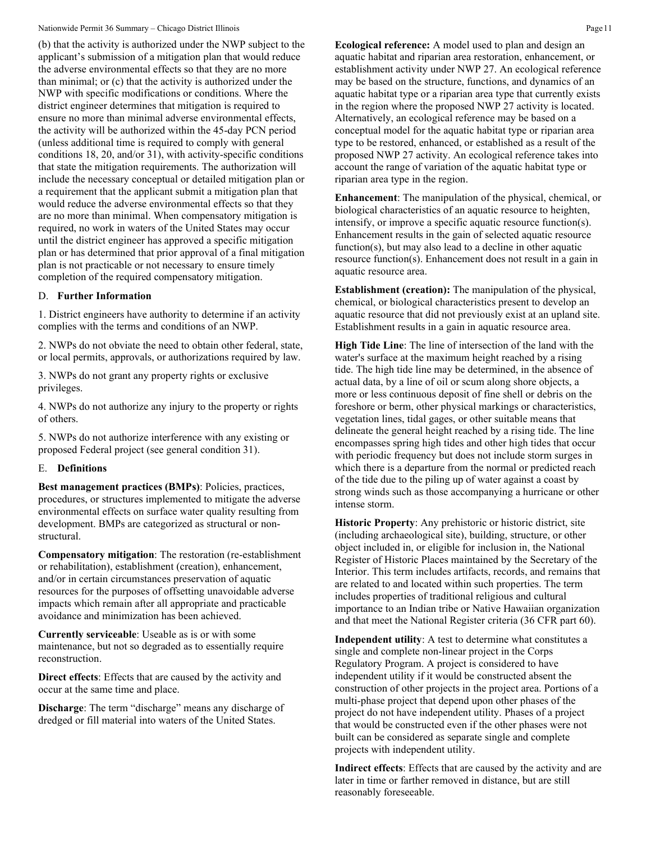(b) that the activity is authorized under the NWP subject to the applicant's submission of a mitigation plan that would reduce the adverse environmental effects so that they are no more than minimal; or (c) that the activity is authorized under the NWP with specific modifications or conditions. Where the district engineer determines that mitigation is required to ensure no more than minimal adverse environmental effects, the activity will be authorized within the 45-day PCN period (unless additional time is required to comply with general conditions 18, 20, and/or 31), with activity-specific conditions that state the mitigation requirements. The authorization will include the necessary conceptual or detailed mitigation plan or a requirement that the applicant submit a mitigation plan that would reduce the adverse environmental effects so that they are no more than minimal. When compensatory mitigation is required, no work in waters of the United States may occur until the district engineer has approved a specific mitigation plan or has determined that prior approval of a final mitigation plan is not practicable or not necessary to ensure timely completion of the required compensatory mitigation.

#### D. **Further Information**

1. District engineers have authority to determine if an activity complies with the terms and conditions of an NWP.

2. NWPs do not obviate the need to obtain other federal, state, or local permits, approvals, or authorizations required by law.

3. NWPs do not grant any property rights or exclusive privileges.

4. NWPs do not authorize any injury to the property or rights of others.

5. NWPs do not authorize interference with any existing or proposed Federal project (see general condition 31).

#### E. **Definitions**

**Best management practices (BMPs)**: Policies, practices, procedures, or structures implemented to mitigate the adverse environmental effects on surface water quality resulting from development. BMPs are categorized as structural or nonstructural.

**Compensatory mitigation**: The restoration (re-establishment or rehabilitation), establishment (creation), enhancement, and/or in certain circumstances preservation of aquatic resources for the purposes of offsetting unavoidable adverse impacts which remain after all appropriate and practicable avoidance and minimization has been achieved.

**Currently serviceable**: Useable as is or with some maintenance, but not so degraded as to essentially require reconstruction.

**Direct effects**: Effects that are caused by the activity and occur at the same time and place.

**Discharge:** The term "discharge" means any discharge of dredged or fill material into waters of the United States.

**Ecological reference:** A model used to plan and design an aquatic habitat and riparian area restoration, enhancement, or establishment activity under NWP 27. An ecological reference may be based on the structure, functions, and dynamics of an aquatic habitat type or a riparian area type that currently exists in the region where the proposed NWP 27 activity is located. Alternatively, an ecological reference may be based on a conceptual model for the aquatic habitat type or riparian area type to be restored, enhanced, or established as a result of the proposed NWP 27 activity. An ecological reference takes into account the range of variation of the aquatic habitat type or riparian area type in the region.

**Enhancement**: The manipulation of the physical, chemical, or biological characteristics of an aquatic resource to heighten, intensify, or improve a specific aquatic resource function(s). Enhancement results in the gain of selected aquatic resource function(s), but may also lead to a decline in other aquatic resource function(s). Enhancement does not result in a gain in aquatic resource area.

**Establishment (creation):** The manipulation of the physical, chemical, or biological characteristics present to develop an aquatic resource that did not previously exist at an upland site. Establishment results in a gain in aquatic resource area.

**High Tide Line**: The line of intersection of the land with the water's surface at the maximum height reached by a rising tide. The high tide line may be determined, in the absence of actual data, by a line of oil or scum along shore objects, a more or less continuous deposit of fine shell or debris on the foreshore or berm, other physical markings or characteristics, vegetation lines, tidal gages, or other suitable means that delineate the general height reached by a rising tide. The line encompasses spring high tides and other high tides that occur with periodic frequency but does not include storm surges in which there is a departure from the normal or predicted reach of the tide due to the piling up of water against a coast by strong winds such as those accompanying a hurricane or other intense storm.

**Historic Property**: Any prehistoric or historic district, site (including archaeological site), building, structure, or other object included in, or eligible for inclusion in, the National Register of Historic Places maintained by the Secretary of the Interior. This term includes artifacts, records, and remains that are related to and located within such properties. The term includes properties of traditional religious and cultural importance to an Indian tribe or Native Hawaiian organization and that meet the National Register criteria (36 CFR part 60).

**Independent utility**: A test to determine what constitutes a single and complete non-linear project in the Corps Regulatory Program. A project is considered to have independent utility if it would be constructed absent the construction of other projects in the project area. Portions of a multi-phase project that depend upon other phases of the project do not have independent utility. Phases of a project that would be constructed even if the other phases were not built can be considered as separate single and complete projects with independent utility.

**Indirect effects**: Effects that are caused by the activity and are later in time or farther removed in distance, but are still reasonably foreseeable.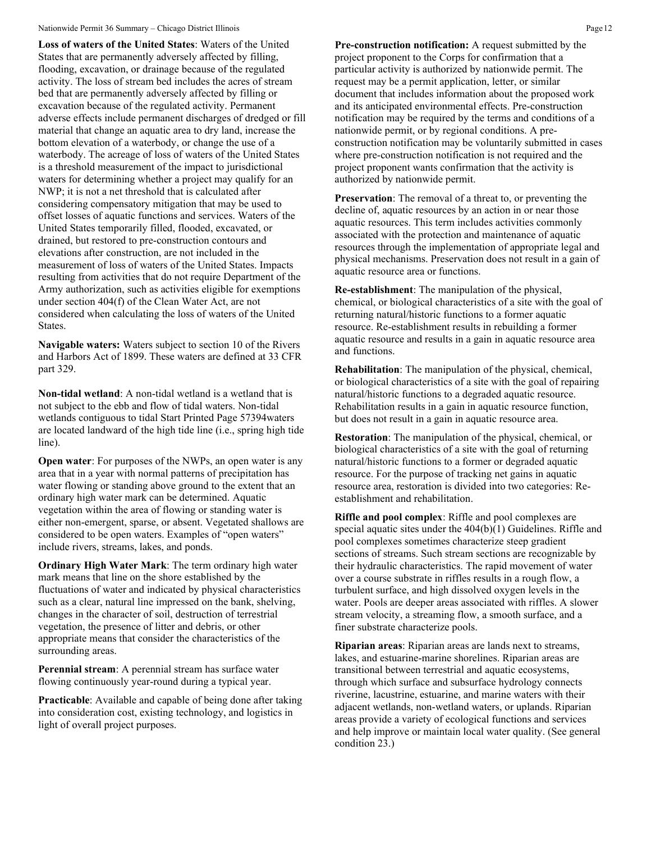**Loss of waters of the United States**: Waters of the United States that are permanently adversely affected by filling, flooding, excavation, or drainage because of the regulated activity. The loss of stream bed includes the acres of stream bed that are permanently adversely affected by filling or excavation because of the regulated activity. Permanent adverse effects include permanent discharges of dredged or fill material that change an aquatic area to dry land, increase the bottom elevation of a waterbody, or change the use of a waterbody. The acreage of loss of waters of the United States is a threshold measurement of the impact to jurisdictional waters for determining whether a project may qualify for an NWP; it is not a net threshold that is calculated after considering compensatory mitigation that may be used to offset losses of aquatic functions and services. Waters of the United States temporarily filled, flooded, excavated, or drained, but restored to pre-construction contours and elevations after construction, are not included in the measurement of loss of waters of the United States. Impacts resulting from activities that do not require Department of the Army authorization, such as activities eligible for exemptions under section 404(f) of the Clean Water Act, are not considered when calculating the loss of waters of the United States.

**Navigable waters:** Waters subject to section 10 of the Rivers and Harbors Act of 1899. These waters are defined at 33 CFR part 329.

**Non-tidal wetland**: A non-tidal wetland is a wetland that is not subject to the ebb and flow of tidal waters. Non-tidal wetlands contiguous to tidal Start Printed Page 57394waters are located landward of the high tide line (i.e., spring high tide line).

**Open water**: For purposes of the NWPs, an open water is any area that in a year with normal patterns of precipitation has water flowing or standing above ground to the extent that an ordinary high water mark can be determined. Aquatic vegetation within the area of flowing or standing water is either non-emergent, sparse, or absent. Vegetated shallows are considered to be open waters. Examples of "open waters" include rivers, streams, lakes, and ponds.

**Ordinary High Water Mark**: The term ordinary high water mark means that line on the shore established by the fluctuations of water and indicated by physical characteristics such as a clear, natural line impressed on the bank, shelving, changes in the character of soil, destruction of terrestrial vegetation, the presence of litter and debris, or other appropriate means that consider the characteristics of the surrounding areas.

**Perennial stream**: A perennial stream has surface water flowing continuously year-round during a typical year.

**Practicable**: Available and capable of being done after taking into consideration cost, existing technology, and logistics in light of overall project purposes.

**Pre-construction notification:** A request submitted by the project proponent to the Corps for confirmation that a particular activity is authorized by nationwide permit. The request may be a permit application, letter, or similar document that includes information about the proposed work and its anticipated environmental effects. Pre-construction notification may be required by the terms and conditions of a nationwide permit, or by regional conditions. A preconstruction notification may be voluntarily submitted in cases where pre-construction notification is not required and the project proponent wants confirmation that the activity is authorized by nationwide permit.

**Preservation**: The removal of a threat to, or preventing the decline of, aquatic resources by an action in or near those aquatic resources. This term includes activities commonly associated with the protection and maintenance of aquatic resources through the implementation of appropriate legal and physical mechanisms. Preservation does not result in a gain of aquatic resource area or functions.

**Re-establishment**: The manipulation of the physical, chemical, or biological characteristics of a site with the goal of returning natural/historic functions to a former aquatic resource. Re-establishment results in rebuilding a former aquatic resource and results in a gain in aquatic resource area and functions.

**Rehabilitation**: The manipulation of the physical, chemical, or biological characteristics of a site with the goal of repairing natural/historic functions to a degraded aquatic resource. Rehabilitation results in a gain in aquatic resource function, but does not result in a gain in aquatic resource area.

**Restoration**: The manipulation of the physical, chemical, or biological characteristics of a site with the goal of returning natural/historic functions to a former or degraded aquatic resource. For the purpose of tracking net gains in aquatic resource area, restoration is divided into two categories: Reestablishment and rehabilitation.

**Riffle and pool complex**: Riffle and pool complexes are special aquatic sites under the 404(b)(1) Guidelines. Riffle and pool complexes sometimes characterize steep gradient sections of streams. Such stream sections are recognizable by their hydraulic characteristics. The rapid movement of water over a course substrate in riffles results in a rough flow, a turbulent surface, and high dissolved oxygen levels in the water. Pools are deeper areas associated with riffles. A slower stream velocity, a streaming flow, a smooth surface, and a finer substrate characterize pools.

**Riparian areas**: Riparian areas are lands next to streams, lakes, and estuarine-marine shorelines. Riparian areas are transitional between terrestrial and aquatic ecosystems, through which surface and subsurface hydrology connects riverine, lacustrine, estuarine, and marine waters with their adjacent wetlands, non-wetland waters, or uplands. Riparian areas provide a variety of ecological functions and services and help improve or maintain local water quality. (See general condition 23.)